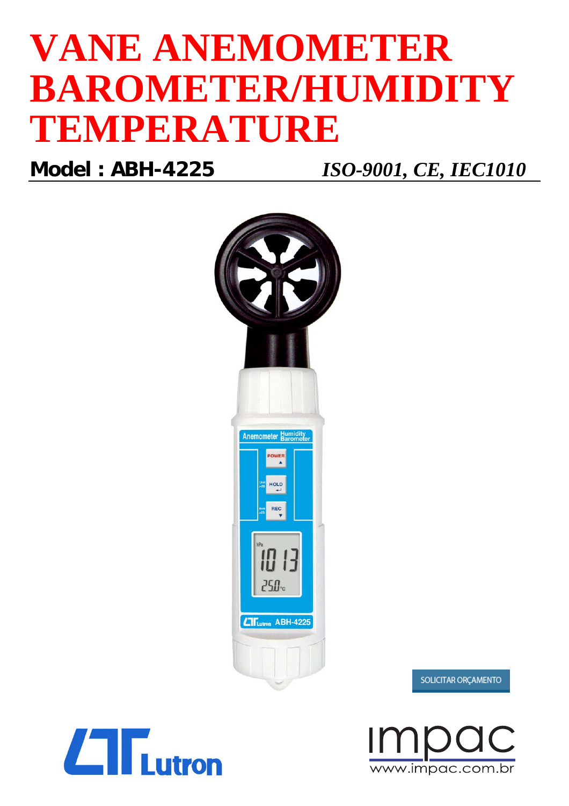# **VANE ANEMOMETER BAROMETER/HUMIDITY TEMPERATURE**

**Model : ABH-4225** *ISO-9001, CE, IEC1010*



 $\Box$  Tutron

www.impac.com.br

SOLICITAR ORCAMENTO